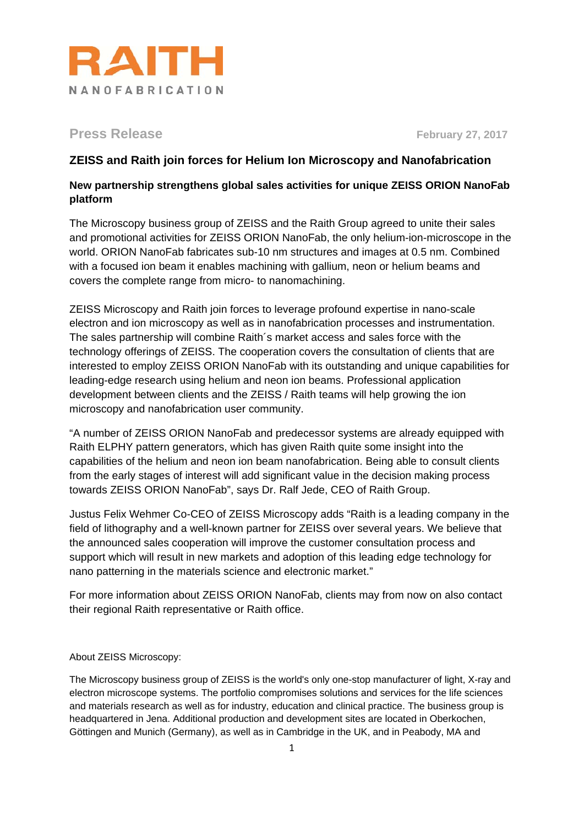

**Press Release** February 27, 2017

## **ZEISS and Raith join forces for Helium Ion Microscopy and Nanofabrication**

## **New partnership strengthens global sales activities for unique ZEISS ORION NanoFab platform**

The Microscopy business group of ZEISS and the Raith Group agreed to unite their sales and promotional activities for ZEISS ORION NanoFab, the only helium-ion-microscope in the world. ORION NanoFab fabricates sub-10 nm structures and images at 0.5 nm. Combined with a focused ion beam it enables machining with gallium, neon or helium beams and covers the complete range from micro- to nanomachining.

ZEISS Microscopy and Raith join forces to leverage profound expertise in nano-scale electron and ion microscopy as well as in nanofabrication processes and instrumentation. The sales partnership will combine Raith´s market access and sales force with the technology offerings of ZEISS. The cooperation covers the consultation of clients that are interested to employ ZEISS ORION NanoFab with its outstanding and unique capabilities for leading-edge research using helium and neon ion beams. Professional application development between clients and the ZEISS / Raith teams will help growing the ion microscopy and nanofabrication user community.

"A number of ZEISS ORION NanoFab and predecessor systems are already equipped with Raith ELPHY pattern generators, which has given Raith quite some insight into the capabilities of the helium and neon ion beam nanofabrication. Being able to consult clients from the early stages of interest will add significant value in the decision making process towards ZEISS ORION NanoFab", says Dr. Ralf Jede, CEO of Raith Group.

Justus Felix Wehmer Co-CEO of ZEISS Microscopy adds "Raith is a leading company in the field of lithography and a well-known partner for ZEISS over several years. We believe that the announced sales cooperation will improve the customer consultation process and support which will result in new markets and adoption of this leading edge technology for nano patterning in the materials science and electronic market."

For more information about ZEISS ORION NanoFab, clients may from now on also contact their regional Raith representative or Raith office.

## About ZEISS Microscopy:

The Microscopy business group of ZEISS is the world's only one-stop manufacturer of light, X-ray and electron microscope systems. The portfolio compromises solutions and services for the life sciences and materials research as well as for industry, education and clinical practice. The business group is headquartered in Jena. Additional production and development sites are located in Oberkochen, Göttingen and Munich (Germany), as well as in Cambridge in the UK, and in Peabody, MA and